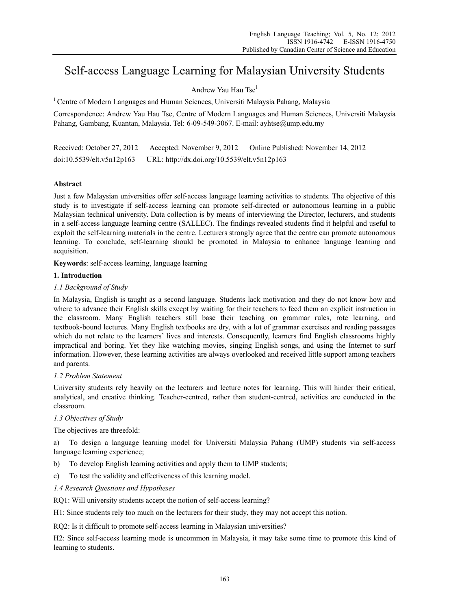# Self-access Language Learning for Malaysian University Students

# Andrew Yau Hau Tse1

1 Centre of Modern Languages and Human Sciences, Universiti Malaysia Pahang, Malaysia

Correspondence: Andrew Yau Hau Tse, Centre of Modern Languages and Human Sciences, Universiti Malaysia Pahang, Gambang, Kuantan, Malaysia. Tel: 6-09-549-3067. E-mail: ayhtse@ump.edu.my

Received: October 27, 2012 Accepted: November 9, 2012 Online Published: November 14, 2012 doi:10.5539/elt.v5n12p163 URL: http://dx.doi.org/10.5539/elt.v5n12p163

## **Abstract**

Just a few Malaysian universities offer self-access language learning activities to students. The objective of this study is to investigate if self-access learning can promote self-directed or autonomous learning in a public Malaysian technical university. Data collection is by means of interviewing the Director, lecturers, and students in a self-access language learning centre (SALLEC). The findings revealed students find it helpful and useful to exploit the self-learning materials in the centre. Lecturers strongly agree that the centre can promote autonomous learning. To conclude, self-learning should be promoted in Malaysia to enhance language learning and acquisition.

**Keywords**: self-access learning, language learning

## **1. Introduction**

# *1.1 Background of Study*

In Malaysia, English is taught as a second language. Students lack motivation and they do not know how and where to advance their English skills except by waiting for their teachers to feed them an explicit instruction in the classroom. Many English teachers still base their teaching on grammar rules, rote learning, and textbook-bound lectures. Many English textbooks are dry, with a lot of grammar exercises and reading passages which do not relate to the learners' lives and interests. Consequently, learners find English classrooms highly impractical and boring. Yet they like watching movies, singing English songs, and using the Internet to surf information. However, these learning activities are always overlooked and received little support among teachers and parents.

## *1.2 Problem Statement*

University students rely heavily on the lecturers and lecture notes for learning. This will hinder their critical, analytical, and creative thinking. Teacher-centred, rather than student-centred, activities are conducted in the classroom.

## *1.3 Objectives of Study*

The objectives are threefold:

a) To design a language learning model for Universiti Malaysia Pahang (UMP) students via self-access language learning experience;

- b) To develop English learning activities and apply them to UMP students;
- c) To test the validity and effectiveness of this learning model.
- *1.4 Research Questions and Hypotheses*

RQ1: Will university students accept the notion of self-access learning?

H1: Since students rely too much on the lecturers for their study, they may not accept this notion.

RQ2: Is it difficult to promote self-access learning in Malaysian universities?

H2: Since self-access learning mode is uncommon in Malaysia, it may take some time to promote this kind of learning to students.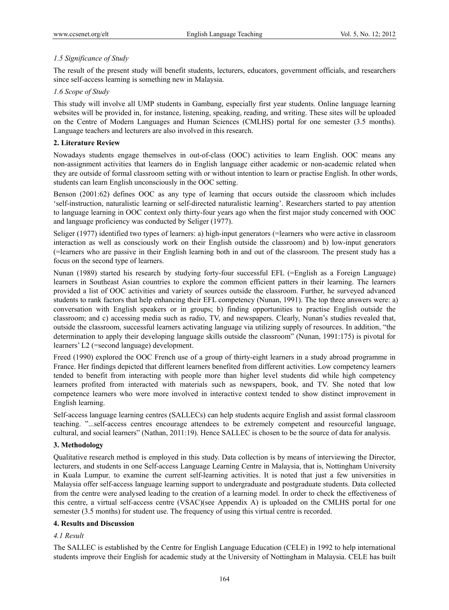# *1.5 Significance of Study*

The result of the present study will benefit students, lecturers, educators, government officials, and researchers since self-access learning is something new in Malaysia.

## *1.6 Scope of Study*

This study will involve all UMP students in Gambang, especially first year students. Online language learning websites will be provided in, for instance, listening, speaking, reading, and writing. These sites will be uploaded on the Centre of Modern Languages and Human Sciences (CMLHS) portal for one semester (3.5 months). Language teachers and lecturers are also involved in this research.

## **2. Literature Review**

Nowadays students engage themselves in out-of-class (OOC) activities to learn English. OOC means any non-assignment activities that learners do in English language either academic or non-academic related when they are outside of formal classroom setting with or without intention to learn or practise English. In other words, students can learn English unconsciously in the OOC setting.

Benson (2001:62) defines OOC as any type of learning that occurs outside the classroom which includes 'self-instruction, naturalistic learning or self-directed naturalistic learning'. Researchers started to pay attention to language learning in OOC context only thirty-four years ago when the first major study concerned with OOC and language proficiency was conducted by Seliger (1977).

Seliger (1977) identified two types of learners: a) high-input generators (=learners who were active in classroom interaction as well as consciously work on their English outside the classroom) and b) low-input generators (=learners who are passive in their English learning both in and out of the classroom. The present study has a focus on the second type of learners.

Nunan (1989) started his research by studying forty-four successful EFL (=English as a Foreign Language) learners in Southeast Asian countries to explore the common efficient patters in their learning. The learners provided a list of OOC activities and variety of sources outside the classroom. Further, he surveyed advanced students to rank factors that help enhancing their EFL competency (Nunan, 1991). The top three answers were: a) conversation with English speakers or in groups; b) finding opportunities to practise English outside the classroom; and c) accessing media such as radio, TV, and newspapers. Clearly, Nunan's studies revealed that, outside the classroom, successful learners activating language via utilizing supply of resources. In addition, "the determination to apply their developing language skills outside the classroom" (Nunan, 1991:175) is pivotal for learners' L2 (=second language) development.

Freed (1990) explored the OOC French use of a group of thirty-eight learners in a study abroad programme in France. Her findings depicted that different learners benefited from different activities. Low competency learners tended to benefit from interacting with people more than higher level students did while high competency learners profited from interacted with materials such as newspapers, book, and TV. She noted that low competence learners who were more involved in interactive context tended to show distinct improvement in English learning.

Self-access language learning centres (SALLECs) can help students acquire English and assist formal classroom teaching. "...self-access centres encourage attendees to be extremely competent and resourceful language, cultural, and social learners" (Nathan, 2011:19). Hence SALLEC is chosen to be the source of data for analysis.

## **3. Methodology**

Qualitative research method is employed in this study. Data collection is by means of interviewing the Director, lecturers, and students in one Self-access Language Learning Centre in Malaysia, that is, Nottingham University in Kuala Lumpur*,* to examine the current self-learning activities. It is noted that just a few universities in Malaysia offer self-access language learning support to undergraduate and postgraduate students. Data collected from the centre were analysed leading to the creation of a learning model. In order to check the effectiveness of this centre, a virtual self-access centre (VSAC)(see Appendix A) is uploaded on the CMLHS portal for one semester (3.5 months) for student use. The frequency of using this virtual centre is recorded.

# **4. Results and Discussion**

## *4.1 Result*

The SALLEC is established by the Centre for English Language Education (CELE) in 1992 to help international students improve their English for academic study at the University of Nottingham in Malaysia. CELE has built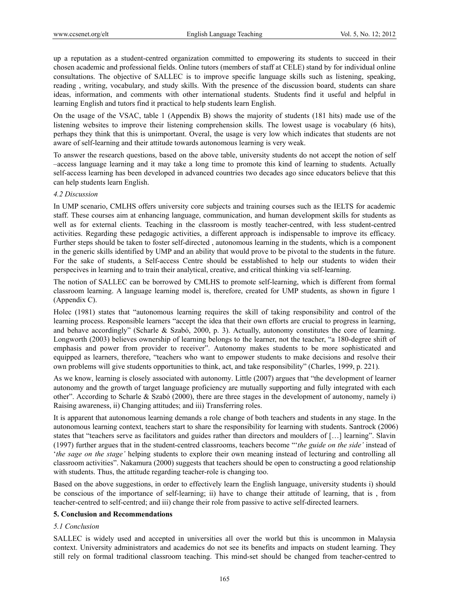up a reputation as a student-centred organization committed to empowering its students to succeed in their chosen academic and professional fields. Online tutors (members of staff at CELE) stand by for individual online consultations. The objective of SALLEC is to improve specific language skills such as listening, speaking, reading , writing, vocabulary, and study skills. With the presence of the discussion board, students can share ideas, information, and comments with other international students. Students find it useful and helpful in learning English and tutors find it practical to help students learn English.

On the usage of the VSAC, table 1 (Appendix B) shows the majority of students (181 hits) made use of the listening websites to improve their listening comprehension skills. The lowest usage is vocabulary (6 hits), perhaps they think that this is unimportant. Overal, the usage is very low which indicates that students are not aware of self-learning and their attitude towards autonomous learning is very weak.

To answer the research questions, based on the above table, university students do not accept the notion of self –access language learning and it may take a long time to promote this kind of learning to students. Actually self-access learning has been developed in advanced countries two decades ago since educators believe that this can help students learn English.

## *4.2 Discussion*

In UMP scenario, CMLHS offers university core subjects and training courses such as the IELTS for academic staff. These courses aim at enhancing language, communication, and human development skills for students as well as for external clients. Teaching in the classroom is mostly teacher-centred, with less student-centred activities. Regarding these pedagogic activities, a different approach is indispensable to improve its efficacy. Further steps should be taken to foster self-directed , autonomous learning in the students, which is a component in the generic skills identified by UMP and an ability that would prove to be pivotal to the students in the future. For the sake of students, a Self-access Centre should be esstablished to help our students to widen their perspecives in learning and to train their analytical, creative, and critical thinking via self-learning.

The notion of SALLEC can be borrowed by CMLHS to promote self-learning, which is different from formal classroom learning. A language learning model is, therefore, created for UMP students, as shown in figure 1 (Appendix C).

Holec (1981) states that "autonomous learning requires the skill of taking responsibility and control of the learning process. Responsible learners "accept the idea that their own efforts are crucial to progress in learning, and behave accordingly" (Scharle & Szabó, 2000, p. 3). Actually, autonomy constitutes the core of learning. Longworth (2003) believes ownership of learning belongs to the learner, not the teacher, "a 180-degree shift of emphasis and power from provider to receiver". Autonomy makes students to be more sophisticated and equipped as learners, therefore, "teachers who want to empower students to make decisions and resolve their own problems will give students opportunities to think, act, and take responsibility" (Charles, 1999, p. 221).

As we know, learning is closely associated with autonomy. Little (2007) argues that "the development of learner autonomy and the growth of target language proficiency are mutually supporting and fully integrated with each other". According to Scharle & Szabó (2000), there are three stages in the development of autonomy, namely i) Raising awareness, ii) Changing attitudes; and iii) Transferring roles.

It is apparent that autonomous learning demands a role change of both teachers and students in any stage. In the autonomous learning context, teachers start to share the responsibility for learning with students. Santrock (2006) states that "teachers serve as facilitators and guides rather than directors and moulders of […] learning". Slavin (1997) further argues that in the student-centred classrooms, teachers become "'*the guide on the side'* instead of '*the sage on the stage'* helping students to explore their own meaning instead of lecturing and controlling all classroom activities". Nakamura (2000) suggests that teachers should be open to constructing a good relationship with students. Thus, the attitude regarding teacher-role is changing too.

Based on the above suggestions, in order to effectively learn the English language, university students i) should be conscious of the importance of self-learning; ii) have to change their attitude of learning, that is , from teacher-centred to self-centred; and iii) change their role from passive to active self-directed learners.

#### **5. Conclusion and Recommendations**

## *5.1 Conclusion*

SALLEC is widely used and accepted in universities all over the world but this is uncommon in Malaysia context. University administrators and academics do not see its benefits and impacts on student learning. They still rely on formal traditional classroom teaching. This mind-set should be changed from teacher-centred to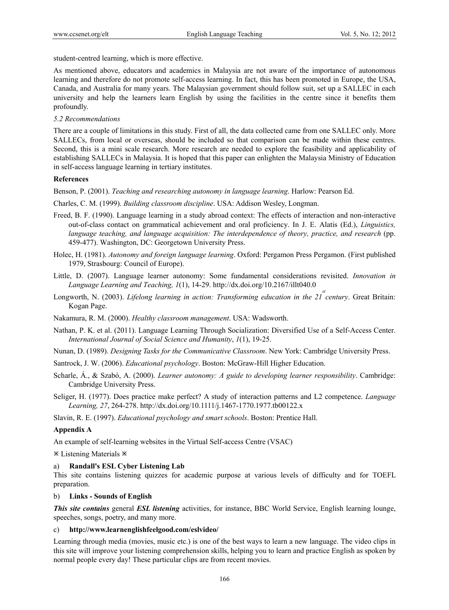student-centred learning, which is more effective.

As mentioned above, educators and academics in Malaysia are not aware of the importance of autonomous learning and therefore do not promote self-access learning. In fact, this has been promoted in Europe, the USA, Canada, and Australia for many years. The Malaysian government should follow suit, set up a SALLEC in each university and help the learners learn English by using the facilities in the centre since it benefits them profoundly.

## *5.2 Recommendations*

There are a couple of limitations in this study. First of all, the data collected came from one SALLEC only. More SALLECs, from local or overseas, should be included so that comparison can be made within these centres. Second, this is a mini scale research. More research are needed to explore the feasibility and applicability of establishing SALLECs in Malaysia. It is hoped that this paper can enlighten the Malaysia Ministry of Education in self-access language learning in tertiary institutes.

### **References**

Benson, P. (2001). *Teaching and researching autonomy in language learning*. Harlow: Pearson Ed.

Charles, C. M. (1999). *Building classroom discipline*. USA: Addison Wesley, Longman.

- Freed, B. F. (1990). Language learning in a study abroad context: The effects of interaction and non-interactive out-of-class contact on grammatical achievement and oral proficiency. In J. E. Alatis (Ed.), *Linguistics, language teaching, and language acquisition: The interdependence of theory, practice, and research* (pp. 459-477). Washington, DC: Georgetown University Press.
- Holec, H. (1981). *Autonomy and foreign language learning*. Oxford: Pergamon Press Pergamon. (First published 1979, Strasbourg: Council of Europe).
- Little, D. (2007). Language learner autonomy: Some fundamental considerations revisited. *Innovation in Language Learning and Teaching, 1*(1), 14-29. http://dx.doi.org/10.2167/illt040.0
- Longworth, N. (2003). *Lifelong learning in action: Transforming education in the 21* century. Great Britain: Kogan Page.

Nakamura, R. M. (2000). *Healthy classroom management*. USA: Wadsworth.

- Nathan, P. K. et al. (2011). Language Learning Through Socialization: Diversified Use of a Self-Access Center. *International Journal of Social Science and Humanity*, *1*(1), 19-25.
- Nunan, D. (1989). *Designing Tasks for the Communicative Classroom*. New York: Cambridge University Press.
- Santrock, J. W. (2006). *Educational psychology*. Boston: McGraw-Hill Higher Education.
- Scharle, Á., & Szabó, A. (2000). *Learner autonomy: A guide to developing learner responsibility*. Cambridge: Cambridge University Press.
- Seliger, H. (1977). Does practice make perfect? A study of interaction patterns and L2 competence. *Language Learning, 27*, 264-278. http://dx.doi.org/10.1111/j.1467-1770.1977.tb00122.x

Slavin, R. E. (1997). *Educational psychology and smart schools*. Boston: Prentice Hall.

## **Appendix A**

An example of self-learning websites in the Virtual Self-access Centre (VSAC)

Listening Materials

#### a) **Randall's ESL Cyber Listening Lab**

This site contains listening quizzes for academic purpose at various levels of difficulty and for TOEFL preparation.

#### b) **Links - Sounds of English**

*This site contains* general *ESL listening* activities, for instance, BBC World Service, English learning lounge, speeches, songs, poetry, and many more.

#### c) **http://www.learnenglishfeelgood.com/eslvideo/**

Learning through media (movies, music etc.) is one of the best ways to learn a new language. The video clips in this site will improve your listening comprehension skills, helping you to learn and practice English as spoken by normal people every day! These particular clips are from recent movies.